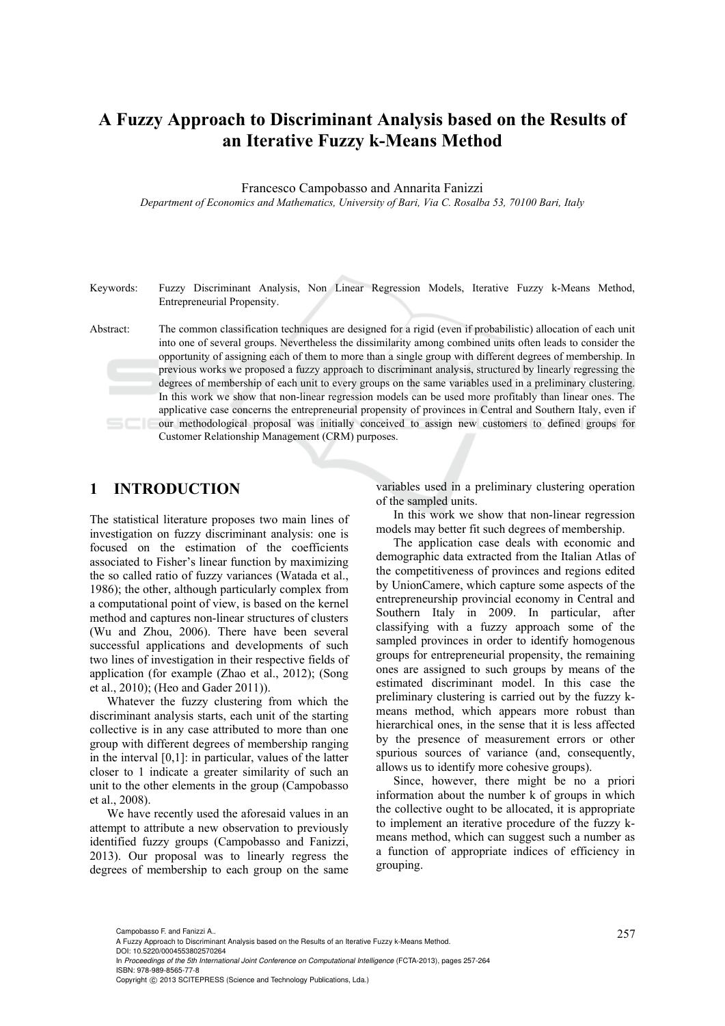## **A Fuzzy Approach to Discriminant Analysis based on the Results of an Iterative Fuzzy k-Means Method**

Francesco Campobasso and Annarita Fanizzi

*Department of Economics and Mathematics, University of Bari, Via C. Rosalba 53, 70100 Bari, Italy* 

Keywords: Fuzzy Discriminant Analysis, Non Linear Regression Models, Iterative Fuzzy k-Means Method, Entrepreneurial Propensity.

Abstract: The common classification techniques are designed for a rigid (even if probabilistic) allocation of each unit into one of several groups. Nevertheless the dissimilarity among combined units often leads to consider the opportunity of assigning each of them to more than a single group with different degrees of membership. In previous works we proposed a fuzzy approach to discriminant analysis, structured by linearly regressing the degrees of membership of each unit to every groups on the same variables used in a preliminary clustering. In this work we show that non-linear regression models can be used more profitably than linear ones. The applicative case concerns the entrepreneurial propensity of provinces in Central and Southern Italy, even if our methodological proposal was initially conceived to assign new customers to defined groups for Customer Relationship Management (CRM) purposes.

### **1 INTRODUCTION**

The statistical literature proposes two main lines of investigation on fuzzy discriminant analysis: one is focused on the estimation of the coefficients associated to Fisher's linear function by maximizing the so called ratio of fuzzy variances (Watada et al., 1986); the other, although particularly complex from a computational point of view, is based on the kernel method and captures non-linear structures of clusters (Wu and Zhou, 2006). There have been several successful applications and developments of such two lines of investigation in their respective fields of application (for example (Zhao et al., 2012); (Song et al., 2010); (Heo and Gader 2011)).

Whatever the fuzzy clustering from which the discriminant analysis starts, each unit of the starting collective is in any case attributed to more than one group with different degrees of membership ranging in the interval [0,1]: in particular, values of the latter closer to 1 indicate a greater similarity of such an unit to the other elements in the group (Campobasso et al., 2008).

We have recently used the aforesaid values in an attempt to attribute a new observation to previously identified fuzzy groups (Campobasso and Fanizzi, 2013). Our proposal was to linearly regress the degrees of membership to each group on the same

variables used in a preliminary clustering operation of the sampled units.

In this work we show that non-linear regression models may better fit such degrees of membership.

The application case deals with economic and demographic data extracted from the Italian Atlas of the competitiveness of provinces and regions edited by UnionCamere, which capture some aspects of the entrepreneurship provincial economy in Central and Southern Italy in 2009. In particular, after classifying with a fuzzy approach some of the sampled provinces in order to identify homogenous groups for entrepreneurial propensity, the remaining ones are assigned to such groups by means of the estimated discriminant model. In this case the preliminary clustering is carried out by the fuzzy kmeans method, which appears more robust than hierarchical ones, in the sense that it is less affected by the presence of measurement errors or other spurious sources of variance (and, consequently, allows us to identify more cohesive groups).

Since, however, there might be no a priori information about the number k of groups in which the collective ought to be allocated, it is appropriate to implement an iterative procedure of the fuzzy kmeans method, which can suggest such a number as a function of appropriate indices of efficiency in grouping.

<sup>257</sup> Campobasso F. and Fanizzi A.. A Fuzzy Approach to Discriminant Analysis based on the Results of an Iterative Fuzzy k-Means Method. DOI: 10.5220/0004553802570264

In *Proceedings of the 5th International Joint Conference on Computational Intelligence* (FCTA-2013), pages 257-264 ISBN: 978-989-8565-77-8

Copyright © 2013 SCITEPRESS (Science and Technology Publications, Lda.)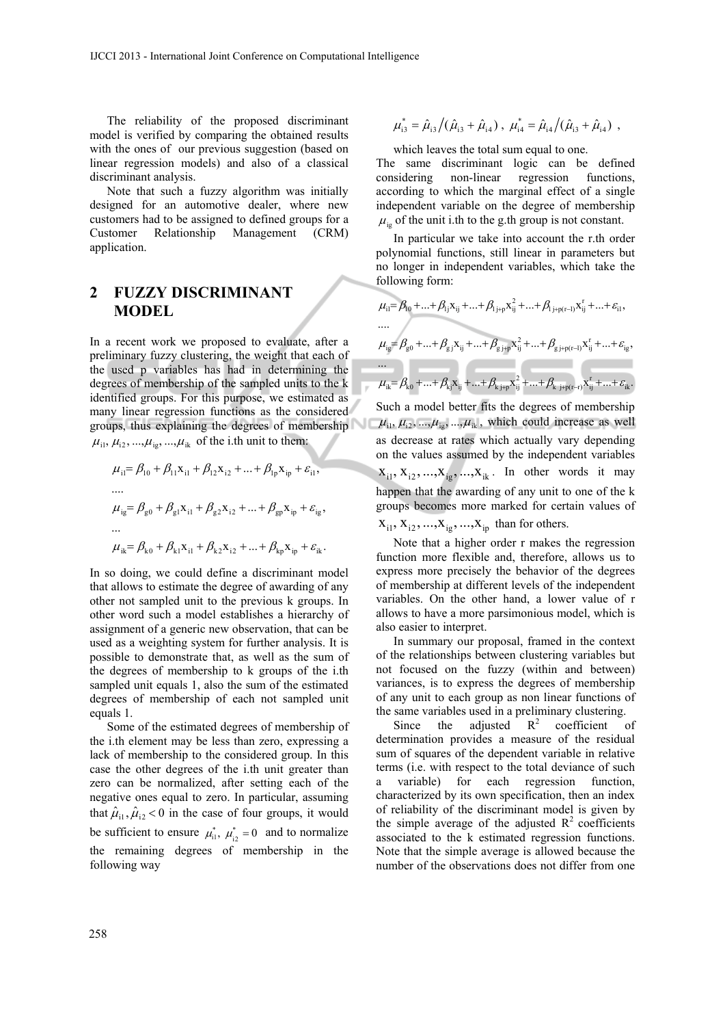The reliability of the proposed discriminant model is verified by comparing the obtained results with the ones of our previous suggestion (based on linear regression models) and also of a classical discriminant analysis.

Note that such a fuzzy algorithm was initially designed for an automotive dealer, where new customers had to be assigned to defined groups for a Customer Relationship Management (CRM) application.

### **2 FUZZY DISCRIMINANT MODEL**

In a recent work we proposed to evaluate, after a preliminary fuzzy clustering, the weight that each of the used p variables has had in determining the degrees of membership of the sampled units to the k identified groups. For this purpose, we estimated as many linear regression functions as the considered groups, thus explaining the degrees of membership  $\mu_{i1}, \mu_{i2}, ..., \mu_{ig}, ..., \mu_{ik}$  of the i.th unit to them:

$$
\mu_{i1} = \beta_{10} + \beta_{11}x_{i1} + \beta_{12}x_{i2} + ... + \beta_{1p}x_{ip} + \varepsilon_{i1},
$$
  
\n...  
\n
$$
\mu_{ig} = \beta_{g0} + \beta_{g1}x_{i1} + \beta_{g2}x_{i2} + ... + \beta_{gp}x_{ip} + \varepsilon_{ig},
$$
  
\n...  
\n
$$
\mu_{ik} = \beta_{k0} + \beta_{k1}x_{i1} + \beta_{k2}x_{i2} + ... + \beta_{kp}x_{ip} + \varepsilon_{ik}.
$$

In so doing, we could define a discriminant model that allows to estimate the degree of awarding of any other not sampled unit to the previous k groups. In other word such a model establishes a hierarchy of assignment of a generic new observation, that can be used as a weighting system for further analysis. It is possible to demonstrate that, as well as the sum of the degrees of membership to k groups of the i.th sampled unit equals 1, also the sum of the estimated degrees of membership of each not sampled unit equals 1.

Some of the estimated degrees of membership of the i.th element may be less than zero, expressing a lack of membership to the considered group. In this case the other degrees of the i.th unit greater than zero can be normalized, after setting each of the negative ones equal to zero. In particular, assuming that  $\hat{\mu}_{i1}, \hat{\mu}_{i2} < 0$  in the case of four groups, it would be sufficient to ensure  $\mu_{i1}^*$ ,  $\mu_{i2}^* = 0$  and to normalize the remaining degrees of membership in the following way

$$
\mu_{i3}^* = \hat{\mu}_{i3}/(\hat{\mu}_{i3} + \hat{\mu}_{i4}), \ \mu_{i4}^* = \hat{\mu}_{i4}/(\hat{\mu}_{i3} + \hat{\mu}_{i4}),
$$

which leaves the total sum equal to one.

The same discriminant logic can be defined considering non-linear regression functions, according to which the marginal effect of a single independent variable on the degree of membership  $\mu_{i}$  of the unit i.th to the g.th group is not constant.

In particular we take into account the r.th order polynomial functions, still linear in parameters but no longer in independent variables, which take the following form:

$$
\mu_{i1} = \beta_{10} + ... + \beta_{1j} x_{ij} + ... + \beta_{1j+p} x_{ij}^2 + ... + \beta_{1j+p(r-1)} x_{ij}^r + ... + \varepsilon_{i1},
$$
  
\n...  
\n
$$
\mu_{ig} = \beta_{g0} + ... + \beta_{gj} x_{ij} + ... + \beta_{gj+p} x_{ij}^2 + ... + \beta_{gj+p(r-1)} x_{ij}^r + ... + \varepsilon_{ig},
$$
  
\n...  
\n
$$
\mu_{ik} = \beta_{k0} + ... + \beta_{kj} x_{ij} + ... + \beta_{k,j+p} x_{ij}^2 + ... + \beta_{k,j+p(r-r)} x_{ij}^r + ... + \varepsilon_{ik}.
$$

Such a model better fits the degrees of membership  $\mu_{i1}, \mu_{i2}, \dots, \mu_{i2}, \dots, \mu_{ik}$ , which could increase as well as decrease at rates which actually vary depending on the values assumed by the independent variables  $X_{i1}, X_{i2}, \ldots, X_{ig}, \ldots, X_{ik}$ . In other words it may happen that the awarding of any unit to one of the k groups becomes more marked for certain values of  $X_{i1}$ ,  $X_{i2}$ , ..., $X_{ig}$ , ..., $X_{ip}$  than for others.

Note that a higher order r makes the regression function more flexible and, therefore, allows us to express more precisely the behavior of the degrees of membership at different levels of the independent variables. On the other hand, a lower value of r allows to have a more parsimonious model, which is also easier to interpret.

In summary our proposal, framed in the context of the relationships between clustering variables but not focused on the fuzzy (within and between) variances, is to express the degrees of membership of any unit to each group as non linear functions of the same variables used in a preliminary clustering.

Since the adjusted  $R^2$  coefficient of determination provides a measure of the residual sum of squares of the dependent variable in relative terms (i.e. with respect to the total deviance of such a variable) for each regression function, characterized by its own specification, then an index of reliability of the discriminant model is given by the simple average of the adjusted  $R^2$  coefficients associated to the k estimated regression functions. Note that the simple average is allowed because the number of the observations does not differ from one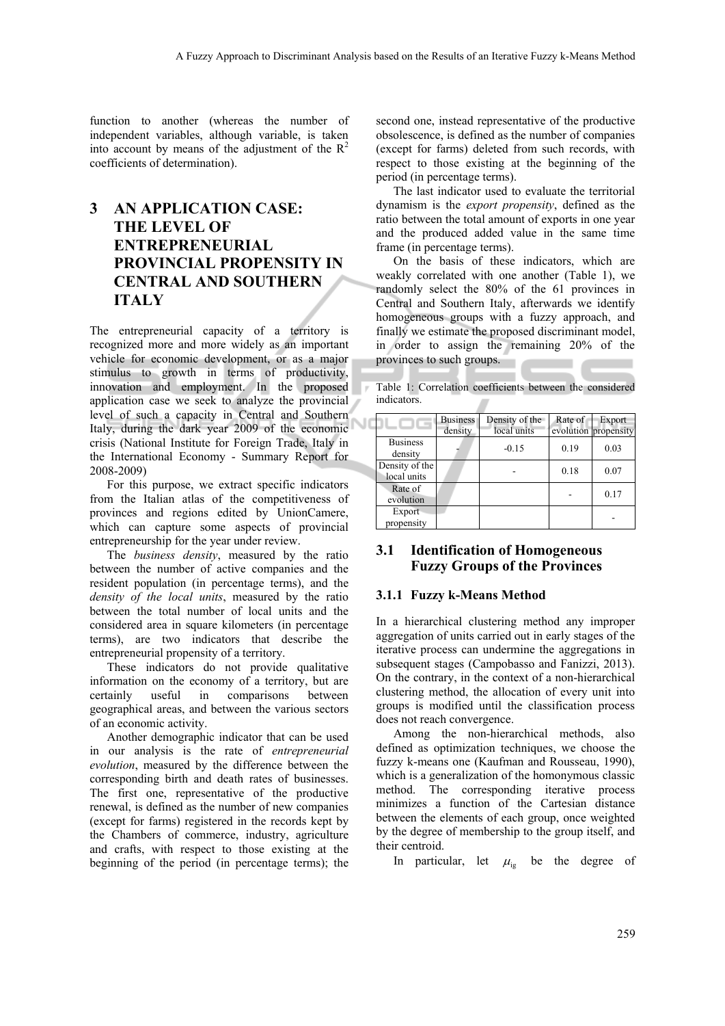function to another (whereas the number of independent variables, although variable, is taken into account by means of the adjustment of the  $R^2$ coefficients of determination).

### **3 AN APPLICATION CASE: THE LEVEL OF ENTREPRENEURIAL PROVINCIAL PROPENSITY IN CENTRAL AND SOUTHERN ITALY**

The entrepreneurial capacity of a territory is recognized more and more widely as an important vehicle for economic development, or as a major stimulus to growth in terms of productivity, innovation and employment. In the proposed application case we seek to analyze the provincial level of such a capacity in Central and Southern Italy, during the dark year 2009 of the economic crisis (National Institute for Foreign Trade, Italy in the International Economy - Summary Report for 2008-2009)

For this purpose, we extract specific indicators from the Italian atlas of the competitiveness of provinces and regions edited by UnionCamere, which can capture some aspects of provincial entrepreneurship for the year under review.

The *business density*, measured by the ratio between the number of active companies and the resident population (in percentage terms), and the *density of the local units*, measured by the ratio between the total number of local units and the considered area in square kilometers (in percentage terms), are two indicators that describe the entrepreneurial propensity of a territory.

These indicators do not provide qualitative information on the economy of a territory, but are certainly useful in comparisons between geographical areas, and between the various sectors of an economic activity.

Another demographic indicator that can be used in our analysis is the rate of *entrepreneurial evolution*, measured by the difference between the corresponding birth and death rates of businesses. The first one, representative of the productive renewal, is defined as the number of new companies (except for farms) registered in the records kept by the Chambers of commerce, industry, agriculture and crafts, with respect to those existing at the beginning of the period (in percentage terms); the

second one, instead representative of the productive obsolescence, is defined as the number of companies (except for farms) deleted from such records, with respect to those existing at the beginning of the period (in percentage terms).

The last indicator used to evaluate the territorial dynamism is the *export propensity*, defined as the ratio between the total amount of exports in one year and the produced added value in the same time frame (in percentage terms).

On the basis of these indicators, which are weakly correlated with one another (Table 1), we randomly select the 80% of the 61 provinces in Central and Southern Italy, afterwards we identify homogeneous groups with a fuzzy approach, and finally we estimate the proposed discriminant model, in order to assign the remaining 20% of the provinces to such groups.

Table 1: Correlation coefficients between the considered indicators.

|                               | <b>Business</b><br>density | Density of the<br>local units | Rate of | Export<br>evolution propensity |
|-------------------------------|----------------------------|-------------------------------|---------|--------------------------------|
| <b>Business</b><br>density    |                            | $-0.15$                       | 0.19    | 0.03                           |
| Density of the<br>local units |                            |                               | 0.18    | 0.07                           |
| Rate of<br>evolution          |                            |                               |         | 0.17                           |
| Export<br>propensity          |                            |                               |         |                                |

#### **3.1 Identification of Homogeneous Fuzzy Groups of the Provinces**

#### **3.1.1 Fuzzy k-Means Method**

In a hierarchical clustering method any improper aggregation of units carried out in early stages of the iterative process can undermine the aggregations in subsequent stages (Campobasso and Fanizzi, 2013). On the contrary, in the context of a non-hierarchical clustering method, the allocation of every unit into groups is modified until the classification process does not reach convergence.

Among the non-hierarchical methods, also defined as optimization techniques, we choose the fuzzy k-means one (Kaufman and Rousseau, 1990), which is a generalization of the homonymous classic method. The corresponding iterative process minimizes a function of the Cartesian distance between the elements of each group, once weighted by the degree of membership to the group itself, and their centroid.

In particular, let  $\mu_{i}$  be the degree of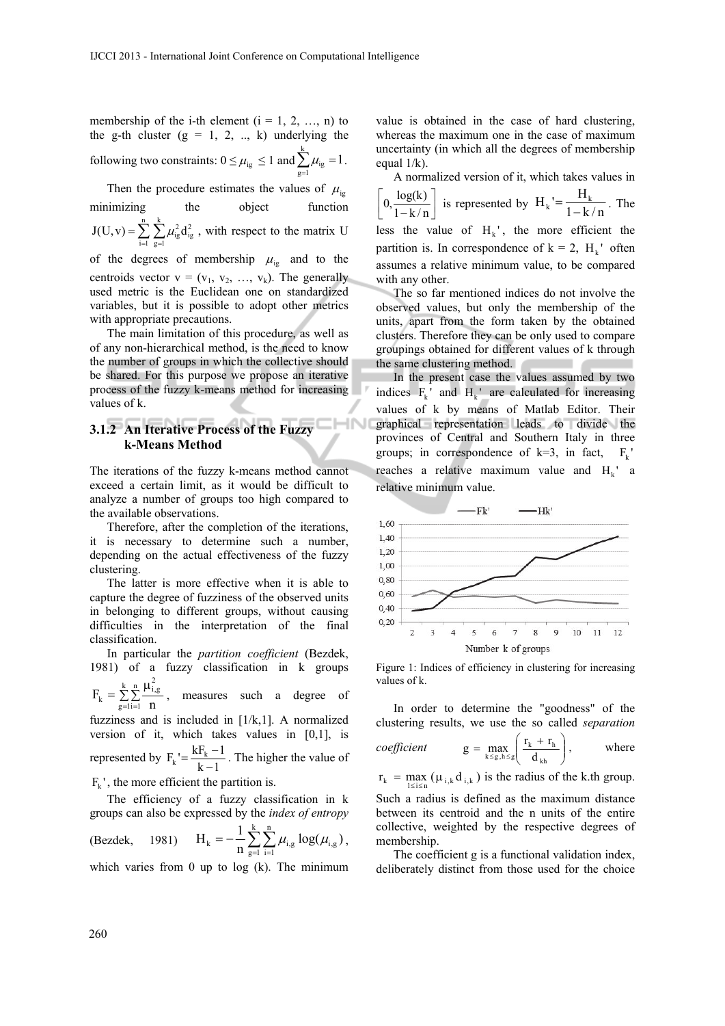membership of the i-th element  $(i = 1, 2, ..., n)$  to the g-th cluster  $(g = 1, 2, ..., k)$  underlying the following two constraints:  $0 \leq \mu_{ig} \leq 1$  and  $\sum_{g=1}^{k} \mu_{ig} = 1$ .

Then the procedure estimates the values of  $\mu_{i}$ minimizing the object function

 $=\sum_{i=1}^{n} \sum_{g=1}^{k}$  $i = 1$ k  $g = 1$  $J(U, v) = \sum \sum \mu_{ig}^2 d_{ig}^2$ , with respect to the matrix U

of the degrees of membership  $\mu_{ig}$  and to the centroids vector  $v = (v_1, v_2, ..., v_k)$ . The generally used metric is the Euclidean one on standardized variables, but it is possible to adopt other metrics with appropriate precautions.

The main limitation of this procedure, as well as of any non-hierarchical method, is the need to know the number of groups in which the collective should be shared. For this purpose we propose an iterative process of the fuzzy k-means method for increasing values of k.

#### **3.1.2 An Iterative Process of the Fuzzy k-Means Method**

The iterations of the fuzzy k-means method cannot exceed a certain limit, as it would be difficult to analyze a number of groups too high compared to the available observations.

Therefore, after the completion of the iterations, it is necessary to determine such a number, depending on the actual effectiveness of the fuzzy clustering.

The latter is more effective when it is able to capture the degree of fuzziness of the observed units in belonging to different groups, without causing difficulties in the interpretation of the final classification.

In particular the *partition coefficient* (Bezdek, 1981) of a fuzzy classification in k groups

 $=\sum_{g=1}^{k} \sum_{i=1}^{n} \frac{\mu}{i}$ k  $g = 1$ n  $i = 1$ 2 i,g  $F_k = \sum_{g=1}^{\infty} \sum_{i=1}^{r-1} \frac{f^{(h)}}{n}$ , measures such a degree of

fuzziness and is included in  $[1/k,1]$ . A normalized version of it, which takes values in [0,1], is represented by  $F_k = \frac{kF_k - 1}{k - 1}$ . The higher the value of

 $F_{\nu}$ ', the more efficient the partition is.

The efficiency of a fuzzy classification in k groups can also be expressed by the *index of entropy*

(Bezdek, 1981) 
$$
H_k = -\frac{1}{n} \sum_{g=1}^{k} \sum_{i=1}^{n} \mu_{i,g} \log(\mu_{i,g}),
$$

which varies from 0 up to  $log (k)$ . The minimum

value is obtained in the case of hard clustering, whereas the maximum one in the case of maximum uncertainty (in which all the degrees of membership equal  $1/k$ ).

A normalized version of it, which takes values in  $\left[0, \frac{\log(k)}{1 - k/n}\right]$  $\mathbf{r}$  $0, \frac{\log(k)}{1 - k/n}$  is represented by  $H_k' = \frac{H_k}{1 - k/n}$ . The less the value of  $H_k$ ', the more efficient the partition is. In correspondence of  $k = 2$ ,  $H_{\nu}$  often assumes a relative minimum value, to be compared with any other.

The so far mentioned indices do not involve the observed values, but only the membership of the units, apart from the form taken by the obtained clusters. Therefore they can be only used to compare groupings obtained for different values of k through the same clustering method.

In the present case the values assumed by two indices  $F_k$  and  $H_k$  are calculated for increasing values of k by means of Matlab Editor. Their graphical representation leads to divide the provinces of Central and Southern Italy in three groups; in correspondence of  $k=3$ , in fact,  $F_k$ reaches a relative maximum value and  $H<sub>k</sub>$  a relative minimum value.



Figure 1: Indices of efficiency in clustering for increasing values of k.

In order to determine the "goodness" of the clustering results, we use the so called *separation* 

*coefficient* 
$$
g = \max_{k \le g, h \le g} \left( \frac{r_k + r_h}{d_{kh}} \right)
$$
, where

 $r_k = \max_{1 \le i \le n} (\mu_{i,k} d_{i,k})$  is the radius of the k.th group. Such a radius is defined as the maximum distance

between its centroid and the n units of the entire collective, weighted by the respective degrees of membership.

The coefficient g is a functional validation index, deliberately distinct from those used for the choice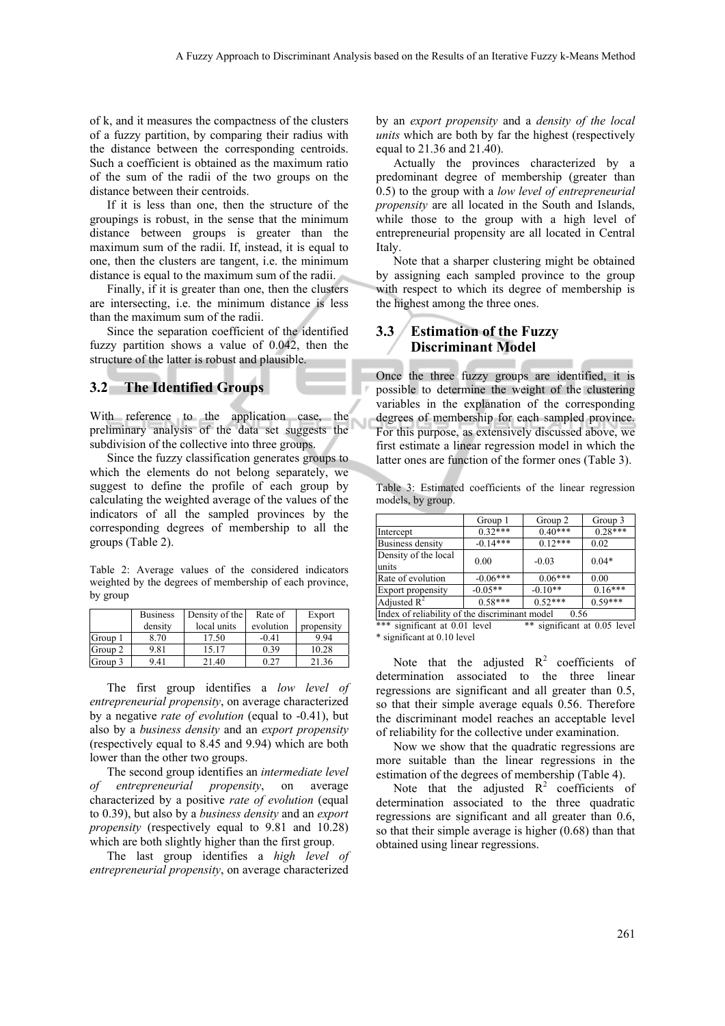of k, and it measures the compactness of the clusters of a fuzzy partition, by comparing their radius with the distance between the corresponding centroids. Such a coefficient is obtained as the maximum ratio of the sum of the radii of the two groups on the distance between their centroids.

If it is less than one, then the structure of the groupings is robust, in the sense that the minimum distance between groups is greater than the maximum sum of the radii. If, instead, it is equal to one, then the clusters are tangent, i.e. the minimum distance is equal to the maximum sum of the radii.

Finally, if it is greater than one, then the clusters are intersecting, i.e. the minimum distance is less than the maximum sum of the radii.

Since the separation coefficient of the identified fuzzy partition shows a value of 0.042, then the structure of the latter is robust and plausible.

#### **3.2 The Identified Groups**

With reference to the application case, the preliminary analysis of the data set suggests the subdivision of the collective into three groups.

Since the fuzzy classification generates groups to which the elements do not belong separately, we suggest to define the profile of each group by calculating the weighted average of the values of the indicators of all the sampled provinces by the corresponding degrees of membership to all the groups (Table 2).

Table 2: Average values of the considered indicators weighted by the degrees of membership of each province, by group

|         | <b>Business</b> | Density of the | Rate of   | Export     |
|---------|-----------------|----------------|-----------|------------|
|         | density         | local units    | evolution | propensity |
| Group 1 | 8.70            | 17.50          | $-0.41$   | 9.94       |
| Group 2 | 9.81            | 15.17          | 0.39      | 10.28      |
| Group 3 | 9.41            | 21.40          | 0.27      | 21.36      |

The first group identifies a *low level of entrepreneurial propensity*, on average characterized by a negative *rate of evolution* (equal to -0.41), but also by a *business density* and an *export propensity* (respectively equal to 8.45 and 9.94) which are both lower than the other two groups.

The second group identifies an *intermediate level of entrepreneurial propensity*, on average characterized by a positive *rate of evolution* (equal to 0.39), but also by a *business density* and an *export propensity* (respectively equal to 9.81 and 10.28) which are both slightly higher than the first group.

The last group identifies a *high level of entrepreneurial propensity*, on average characterized by an *export propensity* and a *density of the local units* which are both by far the highest (respectively equal to 21.36 and 21.40).

Actually the provinces characterized by a predominant degree of membership (greater than 0.5) to the group with a *low level of entrepreneurial propensity* are all located in the South and Islands, while those to the group with a high level of entrepreneurial propensity are all located in Central Italy.

Note that a sharper clustering might be obtained by assigning each sampled province to the group with respect to which its degree of membership is the highest among the three ones.

#### **3.3 Estimation of the Fuzzy Discriminant Model**

Once the three fuzzy groups are identified, it is possible to determine the weight of the clustering variables in the explanation of the corresponding degrees of membership for each sampled province. For this purpose, as extensively discussed above, we first estimate a linear regression model in which the latter ones are function of the former ones (Table 3).

Table 3: Estimated coefficients of the linear regression models, by group.

|                                                        | Group 1    | Group 2   | Group 3   |  |
|--------------------------------------------------------|------------|-----------|-----------|--|
| Intercept                                              | $0.32***$  | $0.40***$ | $0.28***$ |  |
| Business density                                       | $-0.14***$ | $0.12***$ | 0.02      |  |
| Density of the local<br>units                          | 0.00       | $-0.03$   | $0.04*$   |  |
| Rate of evolution                                      | $-0.06***$ | $0.06***$ | 0.00      |  |
| Export propensity                                      | $-0.05**$  | $-0.10**$ | $0.16***$ |  |
| Adjusted $R^2$                                         | $0.58***$  | $0.52***$ | $0.59***$ |  |
| Index of reliability of the discriminant model<br>0.56 |            |           |           |  |

\*\*\* significant at 0.01 level \*\* significant at 0.05 level \* significant at 0.10 level

Note that the adjusted  $R^2$  coefficients of determination associated to the three linear regressions are significant and all greater than 0.5, so that their simple average equals 0.56. Therefore the discriminant model reaches an acceptable level of reliability for the collective under examination.

Now we show that the quadratic regressions are more suitable than the linear regressions in the estimation of the degrees of membership (Table 4).

Note that the adjusted  $R^2$  coefficients of determination associated to the three quadratic regressions are significant and all greater than 0.6, so that their simple average is higher (0.68) than that obtained using linear regressions.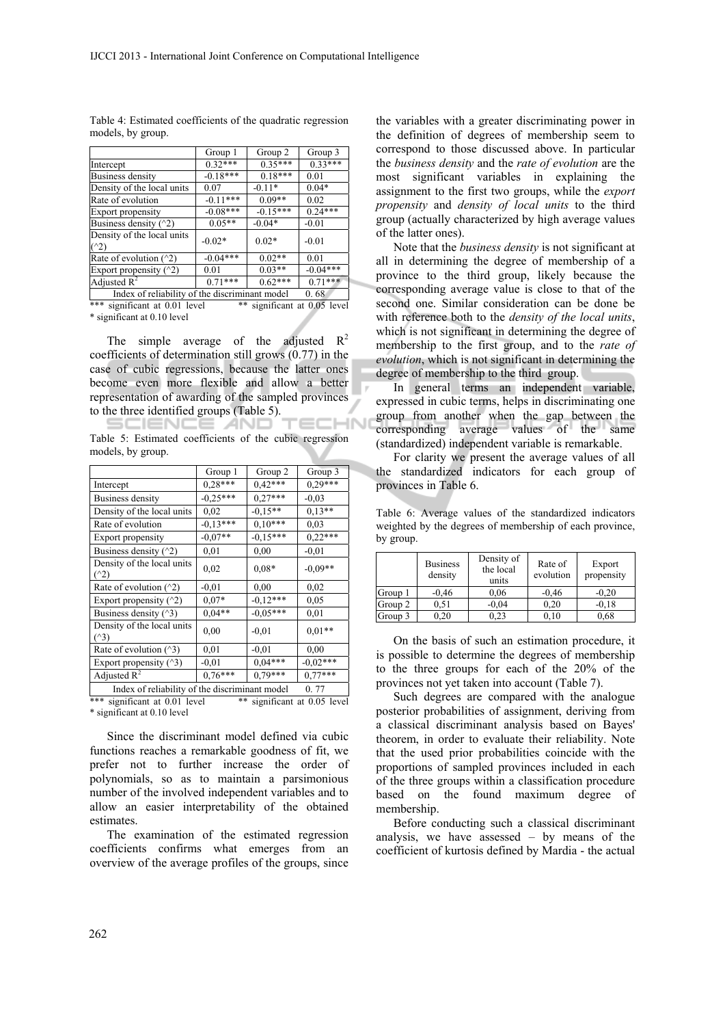|                                                 | Group 1    | Group 2    | Group 3    |
|-------------------------------------------------|------------|------------|------------|
| Intercept                                       | $0.32***$  | $0.35***$  | $0.33***$  |
| Business density                                | $-0.18***$ | $0.18***$  | 0.01       |
| Density of the local units                      | 0.07       | $-0.11*$   | $0.04*$    |
| Rate of evolution                               | $-0.11***$ | $0.09**$   | 0.02       |
| <b>Export propensity</b>                        | $-0.08***$ | $-0.15***$ | $0.24***$  |
| Business density $(2)$                          | $0.05**$   | $-0.04*$   | $-0.01$    |
| Density of the local units<br>$($ $($ $\vee$ 2) | $-0.02*$   | $0.02*$    | $-0.01$    |
| Rate of evolution $(2)$                         | $-0.04***$ | $0.02**$   | 0.01       |
| Export propensity $(2)$                         | 0.01       | $0.03**$   | $-0.04***$ |
| Adjusted $R^2$                                  | $0.71***$  | $0.62***$  | $0.71***$  |

Table 4: Estimated coefficients of the quadratic regression models, by group.

Index of reliability of the discriminant model 0. 68<br>significant at 0.01 level \*\* significant at 0.05 level  $\frac{\ln(\text{max of terms})}{\text{significant at } 0.01 \text{ level}}$ \* significant at 0.10 level

The simple average of the adjusted  $R^2$ coefficients of determination still grows (0.77) in the case of cubic regressions, because the latter ones become even more flexible and allow a better representation of awarding of the sampled provinces to the three identified groups (Table 5). **HN** 

SCIENCE *A*ND Table 5: Estimated coefficients of the cubic regression models, by group.

|                                                                    | Group 1    | Group 2    | Group 3    |  |
|--------------------------------------------------------------------|------------|------------|------------|--|
| Intercept                                                          | $0.28***$  | $0.42***$  | $0.29***$  |  |
| <b>Business density</b>                                            | $-0,25***$ | $0,27***$  | $-0.03$    |  |
| Density of the local units                                         | 0,02       | $-0.15**$  | $0.13**$   |  |
| Rate of evolution                                                  | $-0,13***$ | $0.10***$  | 0.03       |  |
| Export propensity                                                  | $-0.07**$  | $-0,15***$ | $0.22***$  |  |
| Business density $($ $^2)$                                         | 0,01       | 0,00       | $-0.01$    |  |
| Density of the local units<br>$($ <sup><math>\land</math>2</sup> ) | 0.02       | $0.08*$    | $-0,09**$  |  |
| Rate of evolution $(2)$                                            | $-0.01$    | 0.00       | 0.02       |  |
| Export propensity $(2)$                                            | $0.07*$    | $-0.12***$ | 0.05       |  |
| Business density (^3)                                              | $0,04**$   | $-0.05***$ | 0,01       |  |
| Density of the local units<br>$(^{\wedge}3)$                       | 0.00       | $-0.01$    | $0.01**$   |  |
| Rate of evolution $(^\wedge 3)$                                    | 0.01       | $-0.01$    | 0.00       |  |
| Export propensity $(^\wedge 3)$                                    | $-0,01$    | $0,04***$  | $-0,02***$ |  |
| Adjusted $R^2$                                                     | $0.76***$  | $0.79***$  | $0.77***$  |  |
| Index of reliability of the discriminant model<br>0.77             |            |            |            |  |

\*\*\* significant at 0.01 level \*\* significant at 0.05 level \* significant at 0.10 level

Since the discriminant model defined via cubic functions reaches a remarkable goodness of fit, we prefer not to further increase the order of polynomials, so as to maintain a parsimonious number of the involved independent variables and to allow an easier interpretability of the obtained estimates.

The examination of the estimated regression coefficients confirms what emerges from an overview of the average profiles of the groups, since

the variables with a greater discriminating power in the definition of degrees of membership seem to correspond to those discussed above. In particular the *business density* and the *rate of evolution* are the most significant variables in explaining the assignment to the first two groups, while the *export propensity* and *density of local units* to the third group (actually characterized by high average values of the latter ones).

Note that the *business density* is not significant at all in determining the degree of membership of a province to the third group, likely because the corresponding average value is close to that of the second one. Similar consideration can be done be with reference both to the *density of the local units*, which is not significant in determining the degree of membership to the first group, and to the *rate of evolution*, which is not significant in determining the degree of membership to the third group.

In general terms an independent variable, expressed in cubic terms, helps in discriminating one group from another when the gap between the corresponding average values of the same (standardized) independent variable is remarkable.

For clarity we present the average values of all the standardized indicators for each group of provinces in Table 6.

Table 6: Average values of the standardized indicators weighted by the degrees of membership of each province, by group.

|         | <b>Business</b><br>density | Density of<br>the local<br>units | Rate of<br>evolution | Export<br>propensity |
|---------|----------------------------|----------------------------------|----------------------|----------------------|
| Group 1 | $-0.46$                    | 0,06                             | $-0.46$              | $-0.20$              |
| Group 2 | 0.51                       | $-0.04$                          | 0.20                 | $-0.18$              |
| Group 3 | 0.20                       | 0.23                             | 0,10                 | 0.68                 |

On the basis of such an estimation procedure, it is possible to determine the degrees of membership to the three groups for each of the 20% of the provinces not yet taken into account (Table 7).

Such degrees are compared with the analogue posterior probabilities of assignment, deriving from a classical discriminant analysis based on Bayes' theorem, in order to evaluate their reliability. Note that the used prior probabilities coincide with the proportions of sampled provinces included in each of the three groups within a classification procedure based on the found maximum degree of membership.

Before conducting such a classical discriminant analysis, we have assessed – by means of the coefficient of kurtosis defined by Mardia - the actual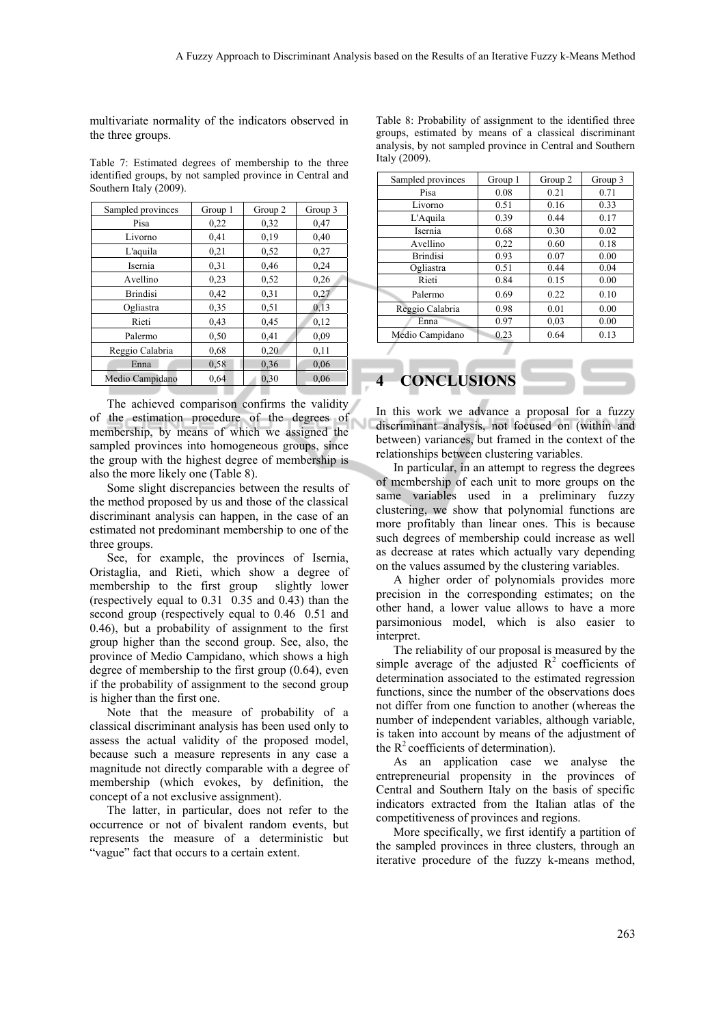multivariate normality of the indicators observed in the three groups.

Table 7: Estimated degrees of membership to the three identified groups, by not sampled province in Central and Southern Italy (2009).

| Sampled provinces | Group 1 | Group 2 | Group 3 |
|-------------------|---------|---------|---------|
| Pisa              | 0,22    | 0,32    | 0,47    |
| Livorno           | 0,41    | 0,19    | 0,40    |
| L'aquila          | 0,21    | 0.52    | 0,27    |
| Isernia           | 0.31    | 0,46    | 0,24    |
| Avellino          | 0.23    | 0,52    | 0,26    |
| <b>Brindisi</b>   | 0,42    | 0.31    | 0,27    |
| Ogliastra         | 0.35    | 0.51    | 0.13    |
| Rieti             | 0,43    | 0,45    | 0,12    |
| Palermo           | 0.50    | 0,41    | 0.09    |
| Reggio Calabria   | 0.68    | 0,20    | 0,11    |
| Enna              | 0,58    | 0,36    | 0,06    |
| Medio Campidano   | 0.64    | 0,30    | 0,06    |

The achieved comparison confirms the validity of the estimation procedure of the degrees of membership, by means of which we assigned the sampled provinces into homogeneous groups, since the group with the highest degree of membership is also the more likely one (Table 8).

Some slight discrepancies between the results of the method proposed by us and those of the classical discriminant analysis can happen, in the case of an estimated not predominant membership to one of the three groups.

See, for example, the provinces of Isernia, Oristaglia, and Rieti, which show a degree of membership to the first group slightly lower (respectively equal to 0.31 0.35 and 0.43) than the second group (respectively equal to 0.46 0.51 and 0.46), but a probability of assignment to the first group higher than the second group. See, also, the province of Medio Campidano, which shows a high degree of membership to the first group (0.64), even if the probability of assignment to the second group is higher than the first one.

Note that the measure of probability of a classical discriminant analysis has been used only to assess the actual validity of the proposed model, because such a measure represents in any case a magnitude not directly comparable with a degree of membership (which evokes, by definition, the concept of a not exclusive assignment).

The latter, in particular, does not refer to the occurrence or not of bivalent random events, but represents the measure of a deterministic but "vague" fact that occurs to a certain extent.

Table 8: Probability of assignment to the identified three groups, estimated by means of a classical discriminant analysis, by not sampled province in Central and Southern Italy (2009).

| Sampled provinces | Group 1 | Group 2 | Group 3 |
|-------------------|---------|---------|---------|
| Pisa              | 0.08    | 0.21    | 0.71    |
| Livorno           | 0.51    | 0.16    | 0.33    |
| L'Aquila          | 0.39    | 0.44    | 0.17    |
| Isernia           | 0.68    | 0.30    | 0.02    |
| Avellino          | 0,22    | 0.60    | 0.18    |
| <b>Brindisi</b>   | 0.93    | 0.07    | 0.00    |
| Ogliastra         | 0.51    | 0.44    | 0.04    |
| Rieti             | 0.84    | 0.15    | 0.00    |
| Palermo           | 0.69    | 0.22    | 0.10    |
| Reggio Calabria   | 0.98    | 0.01    | 0.00    |
| Enna              | 0.97    | 0,03    | 0.00    |
| Medio Campidano   | 0.23    | 0.64    | 0.13    |
|                   |         |         |         |

# **4 CONCLUSIONS**

In this work we advance a proposal for a fuzzy discriminant analysis, not focused on (within and between) variances, but framed in the context of the relationships between clustering variables.

In particular, in an attempt to regress the degrees of membership of each unit to more groups on the same variables used in a preliminary fuzzy clustering, we show that polynomial functions are more profitably than linear ones. This is because such degrees of membership could increase as well as decrease at rates which actually vary depending on the values assumed by the clustering variables.

A higher order of polynomials provides more precision in the corresponding estimates; on the other hand, a lower value allows to have a more parsimonious model, which is also easier to interpret.

The reliability of our proposal is measured by the simple average of the adjusted  $\mathbb{R}^2$  coefficients of determination associated to the estimated regression functions, since the number of the observations does not differ from one function to another (whereas the number of independent variables, although variable, is taken into account by means of the adjustment of the  $R^2$  coefficients of determination).

As an application case we analyse the entrepreneurial propensity in the provinces of Central and Southern Italy on the basis of specific indicators extracted from the Italian atlas of the competitiveness of provinces and regions.

More specifically, we first identify a partition of the sampled provinces in three clusters, through an iterative procedure of the fuzzy k-means method,